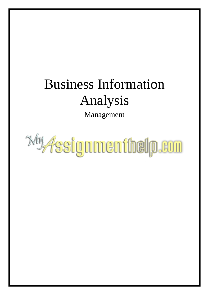# Business Information Analysis

Management

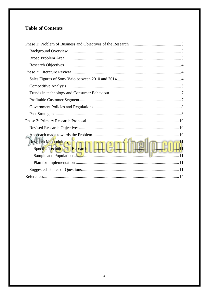# **Table of Contents**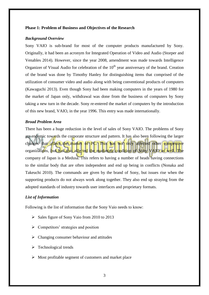#### <span id="page-2-0"></span>**Phase 1: Problem of Business and Objectives of the Research**

#### <span id="page-2-1"></span>*Background Overview*

Sony VAIO is sub-brand for most of the computer products manufactured by Sony. Originally, it had been an acronym for Integrated Operation of Video and Audio (Storper and Venables 2014). However, since the year 2008, amendment was made towards Intelligence Organizer of Visual Audio for celebration of the  $10<sup>th</sup>$  year anniversary of the brand. Creation of the brand was done by Timothy Hanley for distinguishing items that comprised of the utilization of consumer video and audio along with being conventional products of computers (Kawaguchi 2013). Even though Sony had been making computers in the years of 1980 for the market of Japan only, withdrawal was done from the business of computers by Sony taking a new turn in the decade. Sony re-entered the market of computers by the introduction of this new brand, VAIO, in the year 1996. This entry was made internationally.

## <span id="page-2-2"></span>*Broad Problem Area*

There has been a huge reduction in the level of sales of Sony VAIO. The problems of Sony are endemic towards the corporate structure and pattern. It has also been following the larger changes that affect the market of PC. This has not only affected other competitive organizations, but has also affected the marketing condition of Sony VAIO as well. The company of Japan is a Medusa. This refers to having a number of heads having connections to the similar body that are often independent and end up being in conflicts (Nonaka and Takeuchi 2010). The commands are given by the brand of Sony, but issues rise when the supporting products do not always work along together. They also end up straying from the adopted standards of industry towards user interfaces and proprietary formats.

### *List of Information*

Following is the list of information that the Sony Vaio needs to know:

- $\triangleright$  Sales figure of Sony Vaio from 2010 to 2013
- $\triangleright$  Competitors' strategies and position
- $\triangleright$  Changing consumer behaviour and attitudes
- $\triangleright$  Technological trends
- $\triangleright$  Most profitable segment of customers and market place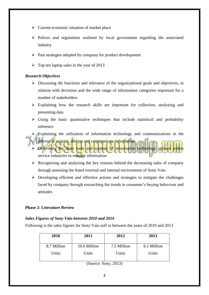- $\triangleright$  Current economic situation of market place
- $\triangleright$  Polices and regulations outlined by local government regarding the associated industry
- $\triangleright$  Past strategies adopted by company for product development
- $\triangleright$  Top ten laptop sales in the year of 2013

### <span id="page-3-0"></span>*Research Objectives*

- $\triangleright$  Discussing the functions and relevance of the organizational goals and objectives, in relation with decisions and the wide range of information categories important for a number of stakeholders
- $\triangleright$  Explaining how the research skills are important for collection, analyzing and presenting data
- $\triangleright$  Using the basic quantitative techniques that include statistical and probability inference
- $\triangleright$  Explaining the utilization of information technology and communications in the
- process to acquire, analyse and communicate information.  $\triangleright$  Describing the main tools and systems of information technology utilized service industries to manage information
- $\triangleright$  Recognizing and analyzing the key reasons behind the decreasing sales of company through assessing the listed external and internal environment of Sony Vaio
- $\triangleright$  Developing efficient and effective actions and strategies to mitigate the challenges faced by company through researching the trends in consumer's buying behaviour and attitudes

#### <span id="page-3-1"></span>**Phase 2: Literature Review**

#### <span id="page-3-2"></span>*Sales Figures of Sony Vaio between 2010 and 2014*

Following is the sales figures for Sony Vaio solf in between the years of 2010 and 2013

| 2010        | 2011         | 2012        | 2013        |
|-------------|--------------|-------------|-------------|
| 8.7 Million | 10.6 Million | 7.5 Million | 6.1 Million |
| Units       | Units        | Units       | Units       |

(Source: Sony, 2013)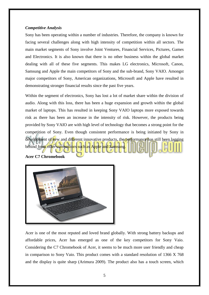#### <span id="page-4-0"></span>*Competitive Analysis*

Sony has been operating within a number of industries. Therefore, the company is known for facing several challenges along with high intensity of competition within all sectors. The main market segments of Sony involve Joint Ventures, Financial Services, Pictures, Games and Electronics. It is also known that there is no other business within the global market dealing with all of these five segments. This makes LG electronics, Microsoft, Canon, Samsung and Apple the main competitors of Sony and the sub-brand, Sony VAIO. Amongst major competitors of Sony, American organizations, Microsoft and Apple have resulted in demonstrating stronger financial results since the past five years.

Within the segment of electronics, Sony has lost a lot of market share within the division of audio. Along with this loss, there has been a huge expansion and growth within the global market of laptops. This has resulted in keeping Sony VAIO laptops more exposed towards risk as there has been an increase in the intensity of risk. However, the products being provided by Sony VAIO are with high level of technology that becomes a strong point for the competition of Sony. Even though consistent performance is being initiated by Sony in development of new and different innovative products, the performance has still been lagging behind from other competitors such as Apple and Samsung.

**Acer C7 Chromebook**



Acer is one of the most reputed and loved brand globally. With strong battery backups and affordable prices, Acer has emerged as one of the key competitors for Sony Vaio. Considering the C7 Chromebook of Acer, it seems to be much more user friendly and cheap in comparison to Sony Vaio. This product comes with a standard resolution of 1366 X 768 and the display is quite sharp (Arimura 2009). The product also has a touch screen, which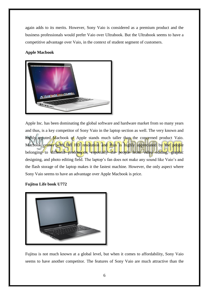again adds to its merits. However, Sony Vaio is considered as a premium product and the business professionals would prefer Vaio over Ultrabook. But the Ultrabook seems to have a competitive advantage over Vaio, in the context of student segment of customers.

# **Apple Macbook**



Apple Inc. has been dominating the global software and hardware market from so many years and thus, is a key competitor of Sony Vaio in the laptop section as well. The very known and highly reputed Macbook of Apple stands much taller than the concerned product Vaio. Macbook comes with full HD resolution and thus is highly appreciated by the people belonging to different professions, especially the people from video editing, graphic designing, and photo editing field. The laptop's fan does not make any sound like Vaio's and the flash storage of the laptop makes it the fastest machine. However, the only aspect where Sony Vaio seems to have an advantage over Apple Macbook is price.

# **Fujitsu Life book U772**



Fujitsu is not much known at a global level, but when it comes to affordability, Sony Vaio seems to have another competitor. The features of Sony Vaio are much attractive than the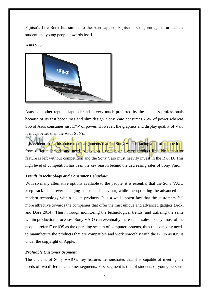Fujitsu's Life Book but similar to the Acer laptops, Fujitsu is string enough to attract the student and young people towards itself.

#### **Asus S56**



Asus is another reputed laptop brand is very much preferred by the business professionals because of its fast boot times and slim design. Sony Vaio consumes 25W of power whereas S56 of Asus consumes just 17W of power. However, the graphics and display quality of Vaio is much better than the Asus S56's.

It is evident from the above made arguments that the Sony Vaio is facing a lot of competition from different brands and need to develop a unique or diverse product line. No aspect or feature is left without competition and the Sony Vaio must heavily invest in the R & D. This high level of competition has been the key reason behind the decreasing sales of Sony Vaio.

#### <span id="page-6-0"></span>*Trends in technology and Consumer Behaviour*

With so many alternative options available to the people, it is essential that the Sony VAIO keep track of the ever changing consumer behaviour, while incorporating the advanced and modern technology within all its products. It is a well known fact that the customers feel more attractive towards the companies that offer the mist unique and advanced gadgets (Aoki and Dore 2014). Thus, through monitoring the technological trends, and utilizing the same within production processes, Sony VAIO can eventually increase its sales. Today, most of the people prefer i7 or iOS as the operating system of computer systems, thus the company needs to manufacture the products that are compatible and work smoothly with the i7 OS as iOS is under the copyright of Apple.

#### <span id="page-6-1"></span>*Profitable Customer Segment*

The analysis of Sony VAIO's key features demonstrates that it is capable of meeting the needs of two different customer segments. First segment is that of students or young persons,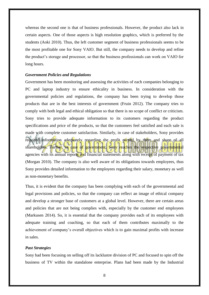whereas the second one is that of business professionals. However, the product also lack in certain aspects. One of those aspects is high resolution graphics, which is preferred by the students (Aoki 2010). Thus, the left customer segment of business professionals seems to be the most profitable one for Sony VAIO. But still, the company needs to develop and refine the product's storage and processor, so that the business professionals can work on VAIO for long hours.

#### <span id="page-7-0"></span>*Government Policies and Regulations*

Government has been monitoring and assessing the activities of each companies belonging to PC and laptop industry to ensure ethicality in business. In consideration with the governmental policies and regulations, the company has been trying to develop those products that are in the best interests of government (Fruin 2012). The company tries to comply with both legal and ethical obligation so that there is no scope of conflict or criticism. Sony tries to provide adequate information to its customers regarding the product specifications and price of the products, so that the customers feel satisfied and each sale is made with complete customer satisfaction. Similarly, in case of stakeholders, Sony provides required information adequately regarding the profit earned by them and share of all shareholders. Further, in case of government, Sony reaches the respective governmental agencies with its annual reports and financial statements along with receipt of payment of tax (Morgan 2010). The company is also well aware of its obligations towards employees, thus Sony provides detailed information to the employees regarding their salary, monetary as well as non-monetary benefits.

Thus, it is evident that the company has been complying with each of the governmental and legal provisions and policies, so that the company can reflect an image of ethical company and develop a stronger base of customers at a global level. However, there are certain areas and policies that are not being complies with, especially by the customer end employees (Markusen 2014). So, it is essential that the company provides each of its employees with adequate training and coaching, so that each of them contributes maximally to the achievement of company's overall objectives which is to gain maximal profits with increase in sales.

#### <span id="page-7-1"></span>*Past Strategies*

Sony had been focusing on selling off its lacklustre division of PC and focused to spin off the business of TV within the standalone enterprise. Plans had been made by the Industrial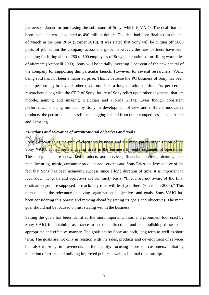partners of Japan for purchasing the sub-brand of Sony, which is VAIO. The deal that had been evaluated was accounted as 490 million dollars. The deal had been finalized in the end of March in the year 2014 (Storper 2010). It was stated that Sony will be cutting off 5000 posts of job within the company across the globe. However, the new partners have been planning for hiring almost 250 to 500 employees of Sony and continued for filling warranties of aftercare (Antonelli 2009). Sony will be initially investing 5 per cent of the new capital of the company for supporting this particular launch. However, for several researchers, VAIO being sold has not been a major surprise. This is because the PC business of Sony has been underperforming in several other divisions since a long duration of time. As per certain researchers along with the CEO of Sony, future of Sony relies upon other segments, that are mobile, gaming and imaging (Feldman and Florida 2014). Even though consistent performance is being initiated by Sony in development of new and different innovative products, the performance has still been lagging behind from other competitors such as Apple and Samsung.

### *Functions and relevance of organizational objectives and goals*

Sony Corporation is the unit of electronic business and the main parent organization of the Sony VAIO. It has been engaging itself in the business by eight segments of operations. These segments are networked products and services, financial services, pictures, disk manufacturing, music, consumer products and services and Sony Ericsson. Irrespective of the fact that Sony has been achieving success since a long duration of time, it is important to reconsider the goals and objectives set on timely basis. "If you are not aware of the final destination you are supposed to reach, any road will lead you there (Fransman 2009)." This phrase states the relevance of having organizational objectives and goals. Sony VAIO has been considering this phrase and moving ahead by setting its goals and objectives. The main goal should not be focused on just staying within the business.

Setting the goals has been identified the most important, basic and prominent tool used by Sony VAIO for obtaining assistance to set their directions and accomplishing these in an appropriate and effective manner. The goals set by Sony are both, long term as well as short term. The goals are not only in relation with the sales, products and development of services but also to bring improvements in the quality, focusing more on customers, initiating reduction of errors, and building improved public as well as internal relationships.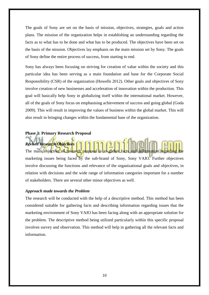The goals of Sony are set on the basis of mission, objectives, strategies, goals and action plans. The mission of the organization helps in establishing an understanding regarding the facts as to what has to be done and what has to be produced. The objectives have been set on the basis of the mission. Objectives lay emphasis on the main mission set by Sony. The goals of Sony define the entire process of success, from starting to end.

Sony has always been focusing on striving for creation of value within the society and this particular idea has been serving as a main foundation and base for the Corporate Social Responsibility (CSR) of the organization (Howells 2012). Other goals and objectives of Sony involve creation of new businesses and acceleration of innovation within the production. This goal will basically help Sony in globalizing itself within the international market. However, all of the goals of Sony focus on emphasising achievement of success and going global (Goda 2009). This will result in improving the values of business within the global market. This will also result in bringing changes within the fundamental base of the organization.

# <span id="page-9-0"></span>**Phase 3: Primary Research Proposal**

<span id="page-9-1"></span>*Revised Research Objectives* The main objective of research proposal is to gather facts and information regarding the marketing issues being faced by the sub-brand of Sony, Sony VAIO. Further objectives involve discussing the functions and relevance of the organizational goals and objectives, in relation with decisions and the wide range of information categories important for a number of stakeholders. There are several other minor objectives as well.

# <span id="page-9-2"></span>*Approach made towards the Problem*

The research will be conducted with the help of a descriptive method. This method has been considered suitable for gathering facts and describing information regarding issues that the marketing environment of Sony VAIO has been facing along with an appropriate solution for the problem. The descriptive method being utilized particularly within this specific proposal involves survey and observation. This method will help in gathering all the relevant facts and information.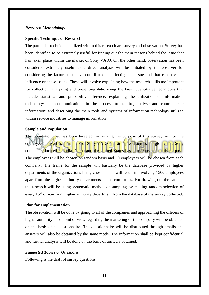#### <span id="page-10-0"></span>*Research Methodology*

#### <span id="page-10-1"></span>**Specific Technique of Research**

The particular techniques utilized within this research are survey and observation. Survey has been identified to be extremely useful for finding out the main reasons behind the issue that has taken place within the market of Sony VAIO. On the other hand, observation has been considered extremely useful as a direct analysis will be initiated by the observer for considering the factors that have contributed in affecting the issue and that can have an influence on these issues. These will involve explaining how the research skills are important for collection, analyzing and presenting data; using the basic quantitative techniques that include statistical and probability inference; explaining the utilization of information technology and communications in the process to acquire, analyse and communicate information; and describing the main tools and systems of information technology utilized within service industries to manage information

# <span id="page-10-2"></span>**Sample and Population**

The population that has been targeted for serving the purpose of this survey will be the employees as well as customers of Spny VAIO that are spread across the globe. The Sony companies located in India, China and the United States has been chosen for this purpose. The employees will be chosen on random basis and 50 employees will be chosen from each company. The frame for the sample will basically be the database provided by higher departments of the organizations being chosen. This will result in involving 1500 employees apart from the higher authority departments of the companies. For drawing out the sample, the research will be using systematic method of sampling by making random selection of every 15<sup>th</sup> officer from higher authority department from the database of the survey collected.

#### <span id="page-10-3"></span>**Plan for Implementation**

The observation will be done by going to all of the companies and approaching the officers of higher authority. The point of view regarding the marketing of the company will be obtained on the basis of a questionnaire. The questionnaire will be distributed through emails and answers will also be obtained by the same mode. The information shall be kept confidential and further analysis will be done on the basis of answers obtained.

#### <span id="page-10-4"></span>*Suggested Topics or Questions*

Following is the draft of survey questions: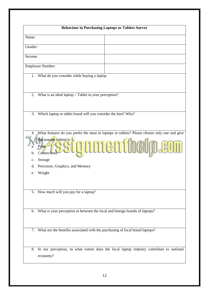| <b>Behaviour in Purchasing Laptops or Tablets Survey</b>                                      |  |  |  |  |
|-----------------------------------------------------------------------------------------------|--|--|--|--|
| Name:                                                                                         |  |  |  |  |
| Gender:                                                                                       |  |  |  |  |
| Income:                                                                                       |  |  |  |  |
| Employee Number:                                                                              |  |  |  |  |
|                                                                                               |  |  |  |  |
| What do you consider while buying a laptop<br>1.                                              |  |  |  |  |
|                                                                                               |  |  |  |  |
| What is an ideal laptop /. Tablet in your perception?<br>2.                                   |  |  |  |  |
|                                                                                               |  |  |  |  |
| Which laptop or tablet brand will you consider the best? Why?<br>3.                           |  |  |  |  |
|                                                                                               |  |  |  |  |
| What features do you prefer the most in laptops or tablets? Please choose only one and give   |  |  |  |  |
| b.                                                                                            |  |  |  |  |
| Storage<br>c.                                                                                 |  |  |  |  |
| Processor, Graphics, and Memory<br>d.                                                         |  |  |  |  |
| Weight<br>e.                                                                                  |  |  |  |  |
|                                                                                               |  |  |  |  |
| 5. How much will you pay for a laptop?                                                        |  |  |  |  |
|                                                                                               |  |  |  |  |
| What is your perception in between the local and foreign brands of laptops?<br>6.             |  |  |  |  |
| What are the benefits associated with the purchasing of local brand laptops?<br>7.            |  |  |  |  |
| In our perception, to what extent does the local laptop industry contribute to national<br>8. |  |  |  |  |
| economy?                                                                                      |  |  |  |  |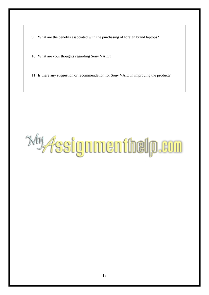9. What are the benefits associated with the purchasing of foreign brand laptops?

10. What are your thoughts regarding Sony VAIO?

11. Is there any suggestion or recommendation for Sony VAIO in improving the product?

*<b><i><u>My fssignnen ihelp.eun</u>*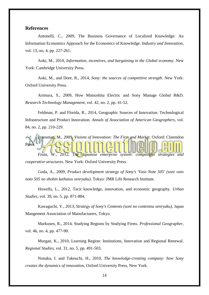#### <span id="page-13-0"></span>**References**

Antonelli, C., 2009, The Business Governance of Localized Knowledge: An Information Economics Approach for the Economics of Knowledge. *Industry and Innovation*, vol. 13, no, 4, pp. 227-261.

Aoki, M., 2010, *Information, incentives, and bargaining in the Global economy*. New York: Cambridge University Press.

Aoki, M., and Dore, R., 2014, *Sony: the sources of competitive strength*. New York: Oxford University Press.

Arimura, S., 2009, How Matsushita Electric and Sony Manage Global R&D. *Research Technology Management*, vol. 42, no. 2, pp. 41-52.

Feldman, P. and Florida, R., 2014, Geographic Sources of Innovation: Technological Infrastructure and Product Innovation. *Annals of Association of American Geographers*, vol. 84, no. 2, pp. 210-229.

Fransman, M., 2009, *Visions of Innovation: The Firm and Market*. Oxford: Clarendon Press. Fruin, W., 2012, *The Japanese enterprise system: competitive strategies and* 

*cooperative structures*. New York: Oxford University Press.

Goda, A., 2009, *Product development strategy of Sony's 'Vaio Note 505' (soni vaio noto 505 no shohin kaihatsu senryaku)*. Tokyo: JMR Life Research Institute.

Howells, L., 2012, Tacit knowledge, innovation, and economic geography. *Urban Studies*, vol. 39, no. 5, pp. 871-884.

Kawaguchi, Y., 2013, *Strategy of Sony's Contents (soni no contentsu senryaku)*, Japan Mangement Association of Manufacturers, Tokyo.

Markusen, R., 2014, Studying Regions by Studying Firms. *Professional Geographer*, vol. 46, no. 4, pp. 477-90.

Morgan, K., 2010, Learning Region: Institutions, Innovation and Regional Renewal. *Regional Studies*, vol. 31, no. 5, pp. 491-503.

Nonaka, I. and Takeuchi, H., 2010, *The knowledge-creating company: how Sony creates the dynamics of innovation*, Oxford University Press, New York.